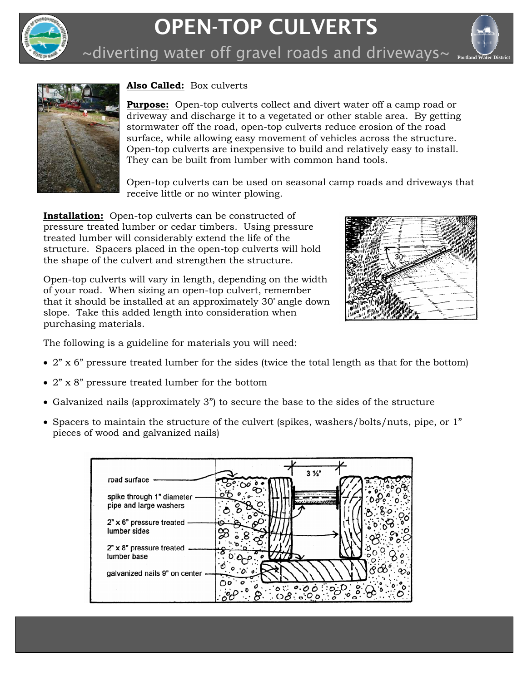

## OPEN-TOP CULVERTS



~diverting water off gravel roads and driveways~  $_{\tiny\text{Portland Water District}}$ 



## **Also Called:** Box culverts

**Purpose:** Open-top culverts collect and divert water off a camp road or driveway and discharge it to a vegetated or other stable area. By getting stormwater off the road, open-top culverts reduce erosion of the road surface, while allowing easy movement of vehicles across the structure. Open-top culverts are inexpensive to build and relatively easy to install. They can be built from lumber with common hand tools.

Open-top culverts can be used on seasonal camp roads and driveways that receive little or no winter plowing.

**Installation:** Open-top culverts can be constructed of pressure treated lumber or cedar timbers. Using pressure treated lumber will considerably extend the life of the structure. Spacers placed in the open-top culverts will hold the shape of the culvert and strengthen the structure.

Open-top culverts will vary in length, depending on the width of your road. When sizing an open-top culvert, remember that it should be installed at an approximately 30° angle down slope. Take this added length into consideration when purchasing materials.

The following is a guideline for materials you will need:

- $2$ " x 6" pressure treated lumber for the sides (twice the total length as that for the bottom)
- 2" x 8" pressure treated lumber for the bottom
- Galvanized nails (approximately 3") to secure the base to the sides of the structure
- Spacers to maintain the structure of the culvert (spikes, washers/bolts/nuts, pipe, or 1" pieces of wood and galvanized nails)

|                                                     | 3 <sup>2</sup> |
|-----------------------------------------------------|----------------|
| road surface                                        |                |
| spike through 1" diameter<br>pipe and large washers |                |
| $2" \times 6"$ pressure treated<br>lumber sides     |                |
| $2" \times 8"$ pressure treated<br>lumber base      |                |
| galvanized nails 9" on center                       |                |